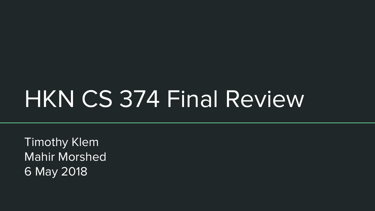# HKN CS 374 Final Review

Timothy Klem Mahir Morshed 6 May 2018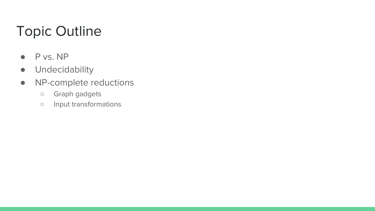# Topic Outline

- P vs. NP
- Undecidability
- NP-complete reductions
	- Graph gadgets
	- Input transformations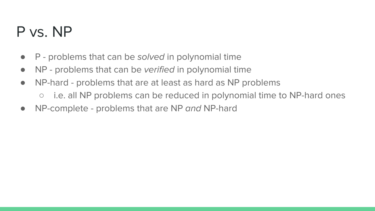# P vs. NP

- $\bullet$  P problems that can be solved in polynomial time
- NP problems that can be verified in polynomial time
- NP-hard problems that are at least as hard as NP problems
	- i.e. all NP problems can be reduced in polynomial time to NP-hard ones
- NP-complete problems that are NP and NP-hard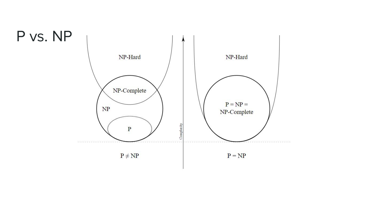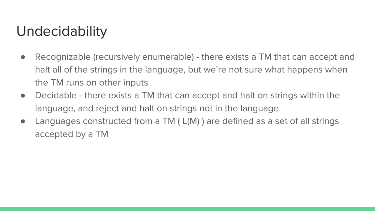## Undecidability

- Recognizable (recursively enumerable) there exists a TM that can accept and halt all of the strings in the language, but we're not sure what happens when the TM runs on other inputs
- Decidable there exists a TM that can accept and halt on strings within the language, and reject and halt on strings not in the language
- Languages constructed from a TM (L(M)) are defined as a set of all strings accepted by a TM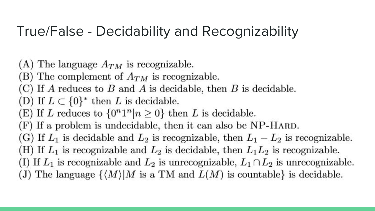### True/False - Decidability and Recognizability

- (A) The language  $A_{TM}$  is recognizable.
- (B) The complement of  $A_{TM}$  is recognizable.
- (C) If A reduces to B and A is decidable, then B is decidable.
- (D) If  $L \subset \{0\}^*$  then L is decidable.
- (E) If L reduces to  $\{0^n1^n|n\geq 0\}$  then L is decidable.
- (F) If a problem is undecidable, then it can also be NP-HARD.
- (G) If  $L_1$  is decidable and  $L_2$  is recognizable, then  $L_1 L_2$  is recognizable.
- (H) If  $L_1$  is recognizable and  $L_2$  is decidable, then  $L_1L_2$  is recognizable.
- (I) If  $L_1$  is recognizable and  $L_2$  is unrecognizable,  $L_1 \cap L_2$  is unrecognizable.
- (J) The language  $\{ \langle M \rangle | M$  is a TM and  $L(M)$  is countable is decidable.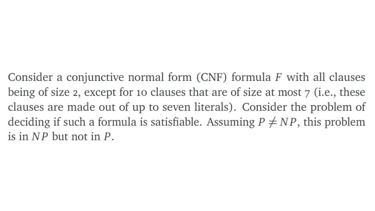Consider a conjunctive normal form (CNF) formula  $F$  with all clauses being of size 2, except for 10 clauses that are of size at most 7 (i.e., these clauses are made out of up to seven literals). Consider the problem of deciding if such a formula is satisfiable. Assuming  $P \neq NP$ , this problem is in  $NP$  but not in  $P$ .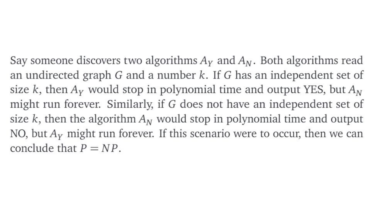Say someone discovers two algorithms  $A<sub>y</sub>$  and  $A<sub>N</sub>$ . Both algorithms read an undirected graph  $G$  and a number  $k$ . If  $G$  has an independent set of size k, then  $A<sub>y</sub>$  would stop in polynomial time and output YES, but  $A<sub>N</sub>$ might run forever. Similarly, if G does not have an independent set of size k, then the algorithm  $A_N$  would stop in polynomial time and output NO, but  $A<sub>y</sub>$  might run forever. If this scenario were to occur, then we can conclude that  $P = NP$ .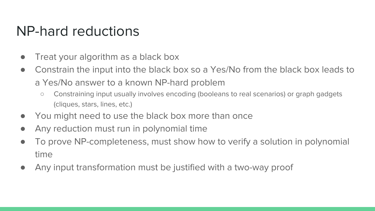#### NP-hard reductions

- Treat your algorithm as a black box
- Constrain the input into the black box so a Yes/No from the black box leads to a Yes/No answer to a known NP-hard problem
	- Constraining input usually involves encoding (booleans to real scenarios) or graph gadgets (cliques, stars, lines, etc.)
- You might need to use the black box more than once
- Any reduction must run in polynomial time
- To prove NP-completeness, must show how to verify a solution in polynomial time
- Any input transformation must be justified with a two-way proof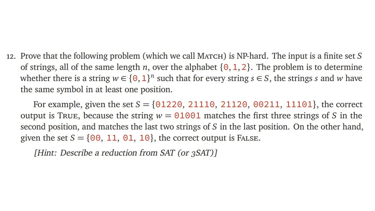12. Prove that the following problem (which we call MATCH) is NP-hard. The input is a finite set S of strings, all of the same length *n*, over the alphabet  $\{0, 1, 2\}$ . The problem is to determine whether there is a string  $w \in \{0,1\}^n$  such that for every string  $s \in S$ , the strings s and w have the same symbol in at least one position.

For example, given the set  $S = \{0.1220, 21110, 21120, 00211, 11101\}$ , the correct output is True, because the string  $w = 01001$  matches the first three strings of S in the second position, and matches the last two strings of S in the last position. On the other hand, given the set  $S = \{00, 11, 01, 10\}$ , the correct output is FALSE.

[Hint: Describe a reduction from SAT (or 3SAT)]